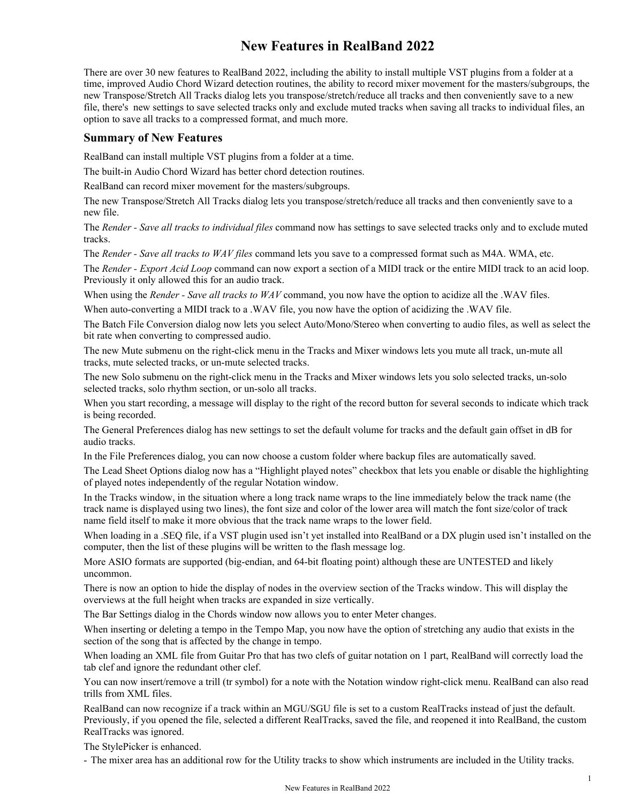# **New Features in RealBand 2022**

There are over 30 new features to RealBand 2022, including the ability to install multiple VST plugins from a folder at a time, improved Audio Chord Wizard detection routines, the ability to record mixer movement for the masters/subgroups, the new Transpose/Stretch All Tracks dialog lets you transpose/stretch/reduce all tracks and then conveniently save to a new file, there's new settings to save selected tracks only and exclude muted tracks when saving all tracks to individual files, an option to save all tracks to a compressed format, and much more.

### **Summary of New Features**

RealBand can install multiple VST plugins from a folder at a time.

The built-in Audio Chord Wizard has better chord detection routines.

RealBand can record mixer movement for the masters/subgroups.

The new Transpose/Stretch All Tracks dialog lets you transpose/stretch/reduce all tracks and then conveniently save to a new file.

The *Render - Save all tracks to individual files* command now has settings to save selected tracks only and to exclude muted tracks.

The *Render - Save all tracks to WAV files* command lets you save to a compressed format such as M4A. WMA, etc.

The *Render - Export Acid Loop* command can now export a section of a MIDI track or the entire MIDI track to an acid loop. Previously it only allowed this for an audio track.

When using the *Render - Save all tracks to WAV* command, you now have the option to acidize all the .WAV files.

When auto-converting a MIDI track to a .WAV file, you now have the option of acidizing the .WAV file.

The Batch File Conversion dialog now lets you select Auto/Mono/Stereo when converting to audio files, as well as select the bit rate when converting to compressed audio.

The new Mute submenu on the right-click menu in the Tracks and Mixer windows lets you mute all track, un-mute all tracks, mute selected tracks, or un-mute selected tracks.

The new Solo submenu on the right-click menu in the Tracks and Mixer windows lets you solo selected tracks, un-solo selected tracks, solo rhythm section, or un-solo all tracks.

When you start recording, a message will display to the right of the record button for several seconds to indicate which track is being recorded.

The General Preferences dialog has new settings to set the default volume for tracks and the default gain offset in dB for audio tracks.

In the File Preferences dialog, you can now choose a custom folder where backup files are automatically saved.

The Lead Sheet Options dialog now has a "Highlight played notes" checkbox that lets you enable or disable the highlighting of played notes independently of the regular Notation window.

In the Tracks window, in the situation where a long track name wraps to the line immediately below the track name (the track name is displayed using two lines), the font size and color of the lower area will match the font size/color of track name field itself to make it more obvious that the track name wraps to the lower field.

When loading in a .SEQ file, if a VST plugin used isn't yet installed into RealBand or a DX plugin used isn't installed on the computer, then the list of these plugins will be written to the flash message log.

More ASIO formats are supported (big-endian, and 64-bit floating point) although these are UNTESTED and likely uncommon.

There is now an option to hide the display of nodes in the overview section of the Tracks window. This will display the overviews at the full height when tracks are expanded in size vertically.

The Bar Settings dialog in the Chords window now allows you to enter Meter changes.

When inserting or deleting a tempo in the Tempo Map, you now have the option of stretching any audio that exists in the section of the song that is affected by the change in tempo.

When loading an XML file from Guitar Pro that has two clefs of guitar notation on 1 part, RealBand will correctly load the tab clef and ignore the redundant other clef.

You can now insert/remove a trill (tr symbol) for a note with the Notation window right-click menu. RealBand can also read trills from XML files.

RealBand can now recognize if a track within an MGU/SGU file is set to a custom RealTracks instead of just the default. Previously, if you opened the file, selected a different RealTracks, saved the file, and reopened it into RealBand, the custom RealTracks was ignored.

The StylePicker is enhanced.

- The mixer area has an additional row for the Utility tracks to show which instruments are included in the Utility tracks.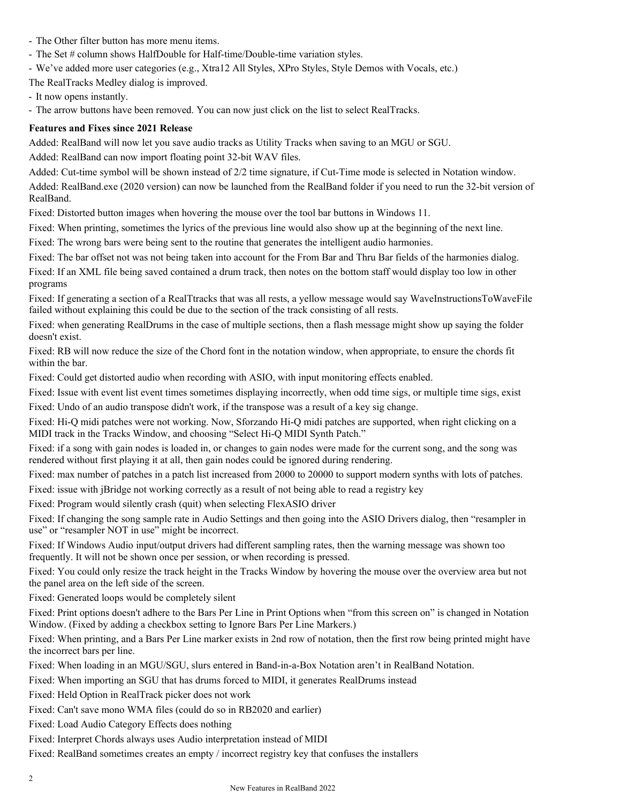- The Other filter button has more menu items.
- The Set # column shows HalfDouble for Half-time/Double-time variation styles.
- We've added more user categories (e.g., Xtra12 All Styles, XPro Styles, Style Demos with Vocals, etc.)

The RealTracks Medley dialog is improved.

- It now opens instantly.

- The arrow buttons have been removed. You can now just click on the list to select RealTracks.

# **Features and Fixes since 2021 Release**

Added: RealBand will now let you save audio tracks as Utility Tracks when saving to an MGU or SGU.

Added: RealBand can now import floating point 32-bit WAV files.

Added: Cut-time symbol will be shown instead of 2/2 time signature, if Cut-Time mode is selected in Notation window.

Added: RealBand.exe (2020 version) can now be launched from the RealBand folder if you need to run the 32-bit version of RealBand.

Fixed: Distorted button images when hovering the mouse over the tool bar buttons in Windows 11.

Fixed: When printing, sometimes the lyrics of the previous line would also show up at the beginning of the next line.

Fixed: The wrong bars were being sent to the routine that generates the intelligent audio harmonies.

Fixed: The bar offset not was not being taken into account for the From Bar and Thru Bar fields of the harmonies dialog.

Fixed: If an XML file being saved contained a drum track, then notes on the bottom staff would display too low in other programs

Fixed: If generating a section of a RealTtracks that was all rests, a yellow message would say WaveInstructionsToWaveFile failed without explaining this could be due to the section of the track consisting of all rests.

Fixed: when generating RealDrums in the case of multiple sections, then a flash message might show up saying the folder doesn't exist.

Fixed: RB will now reduce the size of the Chord font in the notation window, when appropriate, to ensure the chords fit within the bar.

Fixed: Could get distorted audio when recording with ASIO, with input monitoring effects enabled.

Fixed: Issue with event list event times sometimes displaying incorrectly, when odd time sigs, or multiple time sigs, exist

Fixed: Undo of an audio transpose didn't work, if the transpose was a result of a key sig change.

Fixed: Hi-Q midi patches were not working. Now, Sforzando Hi-Q midi patches are supported, when right clicking on a MIDI track in the Tracks Window, and choosing "Select Hi-Q MIDI Synth Patch."

Fixed: if a song with gain nodes is loaded in, or changes to gain nodes were made for the current song, and the song was rendered without first playing it at all, then gain nodes could be ignored during rendering.

Fixed: max number of patches in a patch list increased from 2000 to 20000 to support modern synths with lots of patches.

Fixed: issue with jBridge not working correctly as a result of not being able to read a registry key

Fixed: Program would silently crash (quit) when selecting FlexASIO driver

Fixed: If changing the song sample rate in Audio Settings and then going into the ASIO Drivers dialog, then "resampler in use" or "resampler NOT in use" might be incorrect.

Fixed: If Windows Audio input/output drivers had different sampling rates, then the warning message was shown too frequently. It will not be shown once per session, or when recording is pressed.

Fixed: You could only resize the track height in the Tracks Window by hovering the mouse over the overview area but not the panel area on the left side of the screen.

Fixed: Generated loops would be completely silent

Fixed: Print options doesn't adhere to the Bars Per Line in Print Options when "from this screen on" is changed in Notation Window. (Fixed by adding a checkbox setting to Ignore Bars Per Line Markers.)

Fixed: When printing, and a Bars Per Line marker exists in 2nd row of notation, then the first row being printed might have the incorrect bars per line.

Fixed: When loading in an MGU/SGU, slurs entered in Band-in-a-Box Notation aren't in RealBand Notation.

Fixed: When importing an SGU that has drums forced to MIDI, it generates RealDrums instead

Fixed: Held Option in RealTrack picker does not work

Fixed: Can't save mono WMA files (could do so in RB2020 and earlier)

Fixed: Load Audio Category Effects does nothing

Fixed: Interpret Chords always uses Audio interpretation instead of MIDI

Fixed: RealBand sometimes creates an empty / incorrect registry key that confuses the installers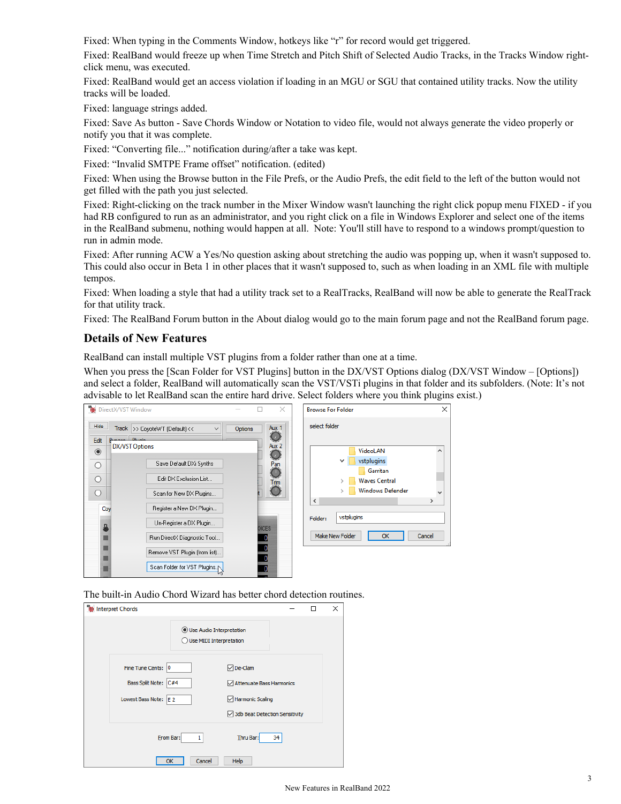Fixed: When typing in the Comments Window, hotkeys like "r" for record would get triggered.

Fixed: RealBand would freeze up when Time Stretch and Pitch Shift of Selected Audio Tracks, in the Tracks Window rightclick menu, was executed.

Fixed: RealBand would get an access violation if loading in an MGU or SGU that contained utility tracks. Now the utility tracks will be loaded.

Fixed: language strings added.

Fixed: Save As button - Save Chords Window or Notation to video file, would not always generate the video properly or notify you that it was complete.

Fixed: "Converting file..." notification during/after a take was kept.

Fixed: "Invalid SMTPE Frame offset" notification. (edited)

Fixed: When using the Browse button in the File Prefs, or the Audio Prefs, the edit field to the left of the button would not get filled with the path you just selected.

Fixed: Right-clicking on the track number in the Mixer Window wasn't launching the right click popup menu FIXED - if you had RB configured to run as an administrator, and you right click on a file in Windows Explorer and select one of the items in the RealBand submenu, nothing would happen at all. Note: You'll still have to respond to a windows prompt/question to run in admin mode.

Fixed: After running ACW a Yes/No question asking about stretching the audio was popping up, when it wasn't supposed to. This could also occur in Beta 1 in other places that it wasn't supposed to, such as when loading in an XML file with multiple tempos.

Fixed: When loading a style that had a utility track set to a RealTracks, RealBand will now be able to generate the RealTrack for that utility track.

Fixed: The RealBand Forum button in the About dialog would go to the main forum page and not the RealBand forum page.

### **Details of New Features**

RealBand can install multiple VST plugins from a folder rather than one at a time.

When you press the [Scan Folder for VST Plugins] button in the DX/VST Options dialog (DX/VST Window – [Options]) and select a folder, RealBand will automatically scan the VST/VSTi plugins in that folder and its subfolders. (Note: It's not advisable to let RealBand scan the entire hard drive. Select folders where you think plugins exist.)



The built-in Audio Chord Wizard has better chord detection routines.

| <b>Till</b> Interpret Chords |                                                     |                                |    | ш | $\times$ |
|------------------------------|-----------------------------------------------------|--------------------------------|----|---|----------|
|                              | Use Audio Interpretation<br>Use MIDI Interpretation |                                |    |   |          |
| Fine Tune Cents: 0           |                                                     | <b>∞</b> De-Clam               |    |   |          |
| Bass Split Note: C#4         |                                                     | Attenuate Bass Harmonics       |    |   |          |
| Lowest Bass Note: E 2        |                                                     | Harmonic Scaling               |    |   |          |
|                              |                                                     | 3db Beat Detection Sensitivity |    |   |          |
|                              | From Bar:<br>1                                      | Thru Bar:                      | 34 |   |          |
|                              | Cancel<br>ОК                                        | Help                           |    |   |          |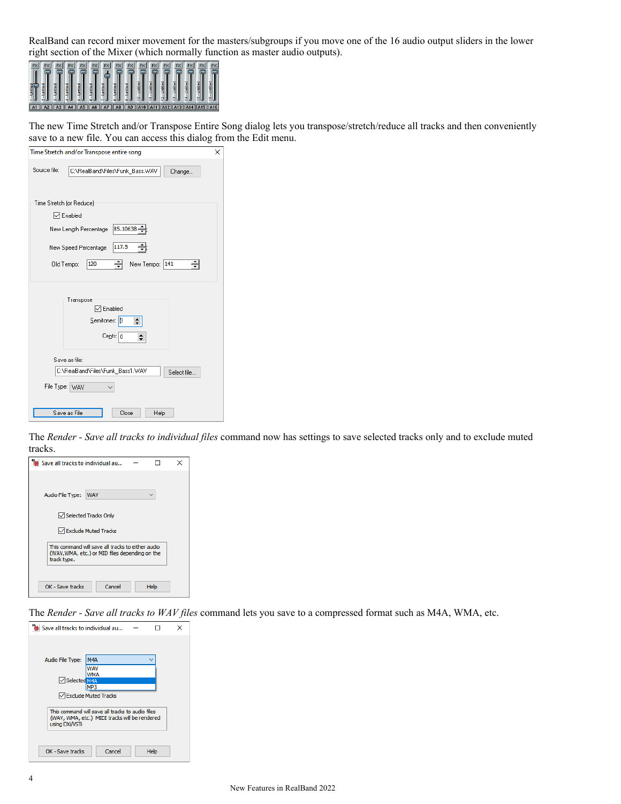RealBand can record mixer movement for the masters/subgroups if you move one of the 16 audio output sliders in the lower right section of the Mixer (which normally function as master audio outputs).



The new Time Stretch and/or Transpose Entire Song dialog lets you transpose/stretch/reduce all tracks and then conveniently save to a new file. You can access this dialog from the Edit menu.

| Time Stretch and/or Transpose entire song                                      | × |
|--------------------------------------------------------------------------------|---|
| Source file:<br>C:\RealBand\Files\Funk_Bass.WAV<br>Change                      |   |
| Time Stretch (or Reduce)                                                       |   |
| ⊡ Enabled                                                                      |   |
| 85.10638<br>New Length Percentage                                              |   |
| 117.5<br>New Speed Percentage                                                  |   |
| 120<br>New Tempo: 141<br>Old Tempo:<br>÷                                       |   |
| Transpose<br>⊡ Enabled<br>Semitones: B<br>$\div$<br>$Cents: \vert 0 \vert\div$ |   |
| Save as file:                                                                  |   |
| C:\RealBand\Files\Funk_Bass1.WAV<br>Select file                                |   |
| File Type: WAV                                                                 |   |
| Save as File<br>Close<br>Help                                                  |   |

The *Render - Save all tracks to individual files* command now has settings to save selected tracks only and to exclude muted tracks.

| lile Save all tracks to individual au |                                                                                                     |      |  |
|---------------------------------------|-----------------------------------------------------------------------------------------------------|------|--|
|                                       |                                                                                                     |      |  |
| Audio File Type:                      | <b>WAV</b>                                                                                          |      |  |
|                                       | Selected Tracks Only                                                                                |      |  |
|                                       |                                                                                                     |      |  |
|                                       | Exclude Muted Tracks                                                                                |      |  |
| track type.                           | This command will save all tracks to either audio<br>(WAV, WMA, etc.) or MID files depending on the |      |  |
|                                       |                                                                                                     |      |  |
| OK - Save tracks                      | Cancel                                                                                              | Help |  |

The *Render - Save all tracks to WAV files* command lets you save to a compressed format such as M4A, WMA, etc.

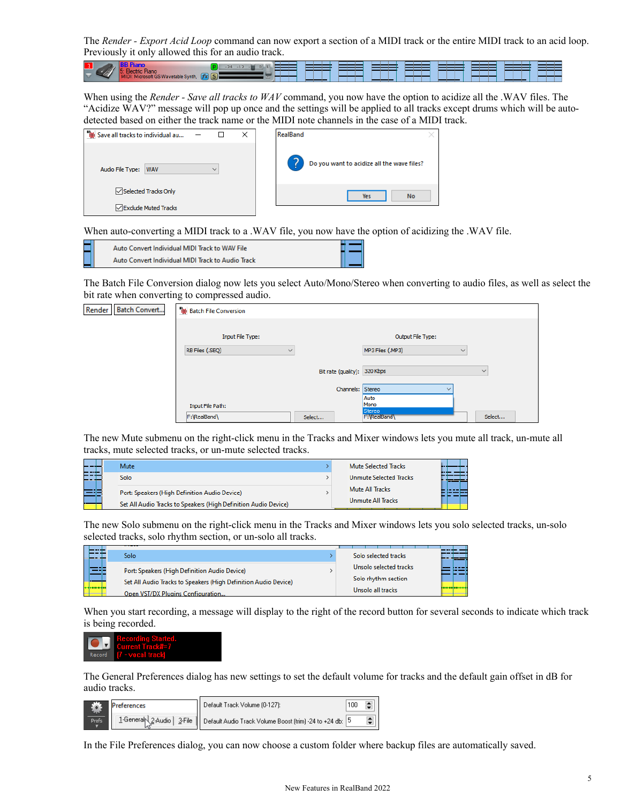The *Render - Export Acid Loop* command can now export a section of a MIDI track or the entire MIDI track to an acid loop. Previously it only allowed this for an audio track.



When using the *Render - Save all tracks to WAV* command, you now have the option to acidize all the .WAV files. The "Acidize WAV?" message will pop up once and the settings will be applied to all tracks except drums which will be autodetected based on either the track name or the MIDI note channels in the case of a MIDI track.

| <sup>18</sup> Save all tracks to individual au |              | × | RealBand                                   |
|------------------------------------------------|--------------|---|--------------------------------------------|
| Audio File Type:<br><b>WAV</b>                 | $\checkmark$ |   | Do you want to acidize all the wave files? |
| Selected Tracks Only                           |              |   | <b>No</b><br><b>Yes</b>                    |
| <b>▽ Exclude Muted Tracks</b>                  |              |   |                                            |

When auto-converting a MIDI track to a .WAV file, you now have the option of acidizing the .WAV file.

|  | Auto Convert Individual MIDI Track to WAV File    |  |  |
|--|---------------------------------------------------|--|--|
|  | Auto Convert Individual MIDI Track to Audio Track |  |  |

The Batch File Conversion dialog now lets you select Auto/Mono/Stereo when converting to audio files, as well as select the bit rate when converting to compressed audio.

| Render<br><b>Batch Convert</b> | <b>THE Batch File Conversion</b> |                              |                                  |              |
|--------------------------------|----------------------------------|------------------------------|----------------------------------|--------------|
|                                | <b>Input File Type:</b>          |                              | Output File Type:                |              |
|                                | RB Files (.SEQ)<br>$\checkmark$  |                              | MP3 Files (.MP3)<br>$\checkmark$ |              |
|                                |                                  | Bit rate (quality): 320 Kbps |                                  | $\checkmark$ |
|                                |                                  | Channels: Stereo             | $\checkmark$                     |              |
|                                | Input File Path:                 |                              | Auto<br>Mono<br>Stereo           |              |
|                                | F:\RealBand\                     | Select                       | F: RealBand                      | Select       |

The new Mute submenu on the right-click menu in the Tracks and Mixer windows lets you mute all track, un-mute all tracks, mute selected tracks, or un-mute selected tracks.

| --- | Mute                                                            | <b>Mute Selected Tracks</b>                                                                                                |  |
|-----|-----------------------------------------------------------------|----------------------------------------------------------------------------------------------------------------------------|--|
| 들었다 | Solo                                                            | <b>Unmute Selected Tracks</b>                                                                                              |  |
| 335 | Port: Speakers (High Definition Audio Device)                   | Mute All Tracks                                                                                                            |  |
| .   | Set All Audio Tracks to Speakers (High Definition Audio Device) | Unmute All Tracks<br>a er en eden recentraren eta errestan errikoaren de era eta errestan erreko erreko ezkonatzen ezkonat |  |

The new Solo submenu on the right-click menu in the Tracks and Mixer windows lets you solo selected tracks, un-solo selected tracks, solo rhythm section, or un-solo all tracks.

|    | Solo                                                                                                                                                  |  | Solo selected tracks                                               |  |
|----|-------------------------------------------------------------------------------------------------------------------------------------------------------|--|--------------------------------------------------------------------|--|
| ≕⊧ | Port: Speakers (High Definition Audio Device)<br>Set All Audio Tracks to Speakers (High Definition Audio Device)<br>Open VST/DX Plugins Configuration |  | Unsolo selected tracks<br>Solo rhythm section<br>Unsolo all tracks |  |

When you start recording, a message will display to the right of the record button for several seconds to indicate which track is being recorded.



The General Preferences dialog has new settings to set the default volume for tracks and the default gain offset in dB for audio tracks.

| <b>Preferences</b> | Default Track Volume (0-127):                                                         | 100 |  |
|--------------------|---------------------------------------------------------------------------------------|-----|--|
| Prefs.             | 1-General 2-Audio   3-File   Default Audio Track Volume Boost (trim) -24 to +24 db: 5 |     |  |

In the File Preferences dialog, you can now choose a custom folder where backup files are automatically saved.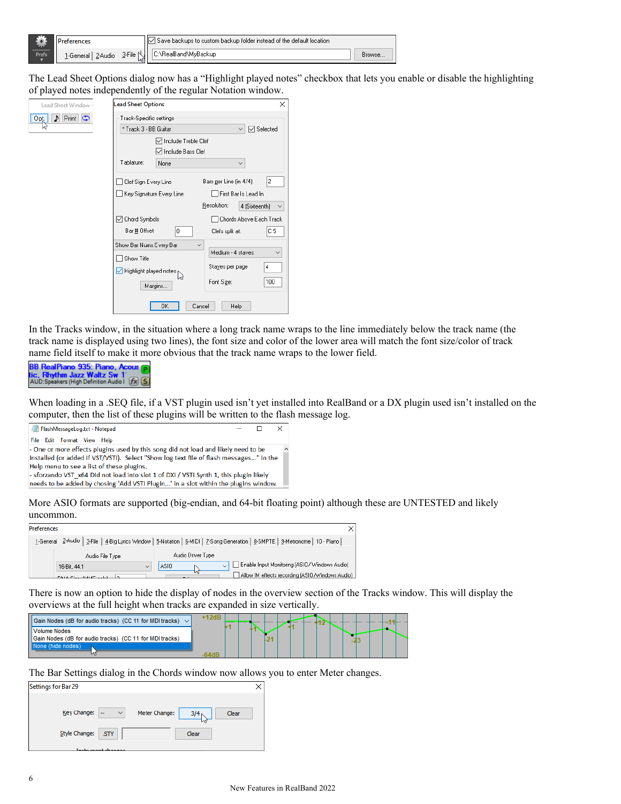|              |                                |    | Save backups to custom backup folder instead of the default location. |        |
|--------------|--------------------------------|----|-----------------------------------------------------------------------|--------|
| <b>Prefs</b> | 1-General   2-Audio   3-File N | иг | C:\RealBand\MvBackup                                                  | Browse |

The Lead Sheet Options dialog now has a "Highlight played notes" checkbox that lets you enable or disable the highlighting of played notes independently of the regular Notation window.

| <b>Lead Sheet Window</b> | <b>Lead Sheet Options</b>               | ×                                 |
|--------------------------|-----------------------------------------|-----------------------------------|
| Print D<br>P.<br>Opt.    | Track-Specific settings                 |                                   |
|                          | * Track 3 - BB Guitar                   | <b>▽</b> Selected                 |
|                          | □ Include Treble Clef                   |                                   |
|                          | √ Include Bass Clef                     |                                   |
|                          | Tablature:<br>None                      |                                   |
|                          | Clef Sign Every Line                    | 2<br>Bars per Line (in 4/4)       |
|                          | Key Signature Every Line                | First Bar Is Lead In              |
|                          |                                         | Resolution:<br>4 (Sixteenth)      |
|                          | Chord Symbols<br>◡                      | Chords Above Each Track           |
|                          | Bar # Offset<br>0                       | C5<br>Clefs split at:             |
|                          | Show Bar Nums Every Bar<br>$\checkmark$ |                                   |
|                          | Show Title                              | Medium - 4 staves<br>$\checkmark$ |
|                          | Highlight played notes                  | Stayes per page<br>4              |
|                          | Margins                                 | Font Size:<br>100                 |
|                          | OK<br>Cancel                            | Help                              |

In the Tracks window, in the situation where a long track name wraps to the line immediately below the track name (the track name is displayed using two lines), the font size and color of the lower area will match the font size/color of track name field itself to make it more obvious that the track name wraps to the lower field.



When loading in a .SEQ file, if a VST plugin used isn't yet installed into RealBand or a DX plugin used isn't installed on the computer, then the list of these plugins will be written to the flash message log.



More ASIO formats are supported (big-endian, and 64-bit floating point) although these are UNTESTED and likely uncommon.

| .                   |                                                                                                                                 |
|---------------------|---------------------------------------------------------------------------------------------------------------------------------|
| <b>Preferences</b>  |                                                                                                                                 |
|                     | 1-General 2-Audio   3-File   4-Big Lyrics Window   5-Notation   6-MIDI   7-Song Generation   8-SMPTE   9-Metronome   10 - Piano |
| Audio File Type     | Audio Driver Type                                                                                                               |
| 16-Bit. 44.1        | Enable Input Monitoring (ASIO / Windows Audio)<br>ASIO                                                                          |
| DAIA Class GAME and | и۱<br>Allow IM effects recording (ASIO/Windows Audio)                                                                           |

There is now an option to hide the display of nodes in the overview section of the Tracks window. This will display the overviews at the full height when tracks are expanded in size vertically.

| Gain Nodes (dB for audio tracks) (CC 11 for MIDI tracks) $\vee$ |  |  |  |  |  |  |  |
|-----------------------------------------------------------------|--|--|--|--|--|--|--|
| <b>Volume Nodes</b>                                             |  |  |  |  |  |  |  |
| Gain Nodes (dB for audio tracks) (CC 11 for MIDI tracks)        |  |  |  |  |  |  |  |
|                                                                 |  |  |  |  |  |  |  |
|                                                                 |  |  |  |  |  |  |  |

The Bar Settings dialog in the Chords window now allows you to enter Meter changes.

| Settings for Bar 29 |                                          |               |                  |       |  |
|---------------------|------------------------------------------|---------------|------------------|-------|--|
| Key Change:         | $\checkmark$<br>$\overline{\phantom{a}}$ | Meter Change: | 3/4 <sub>1</sub> | Clear |  |
| Style Change:       | $\overline{\phantom{a}}$ . STY           |               | Clear            |       |  |
|                     | Instrument changes                       |               |                  |       |  |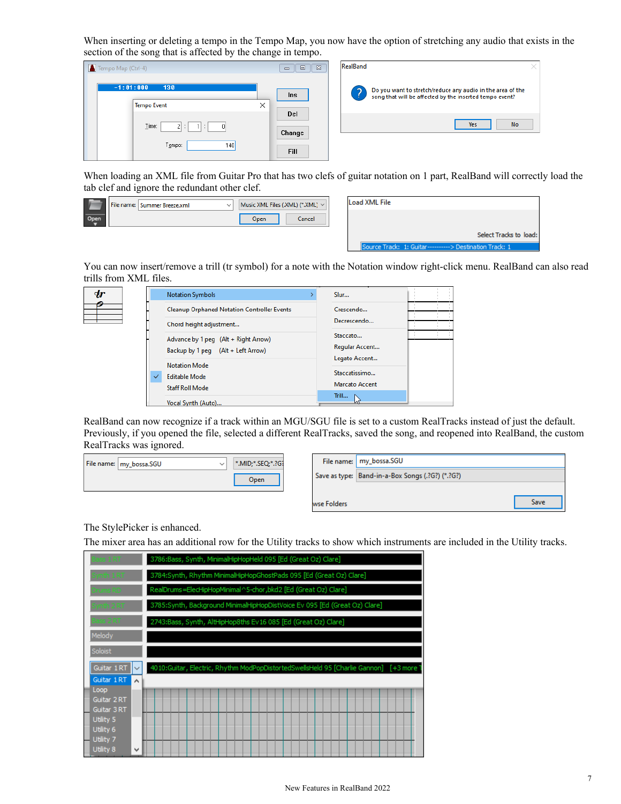When inserting or deleting a tempo in the Tempo Map, you now have the option of stretching any audio that exists in the section of the song that is affected by the change in tempo.

| Tempo Map (Ctrl-4)                                       | $\Sigma$<br>$\Box$<br>$\Box$ | RealBand                                                                                                                   |
|----------------------------------------------------------|------------------------------|----------------------------------------------------------------------------------------------------------------------------|
| $-1:01:000$<br>130<br><b>Tempo Event</b>                 | <b>Ins</b><br>$\times$       | Do you want to stretch/reduce any audio in the area of the<br>?<br>song that will be affected by the inserted tempo event? |
| Time:<br>$\overline{0}$<br><b>STATE</b><br>Tempo:<br>140 | Del<br>Change<br><b>Fill</b> | No<br><b>Yes</b>                                                                                                           |

When loading an XML file from Guitar Pro that has two clefs of guitar notation on 1 part, RealBand will correctly load the tab clef and ignore the redundant other clef.

|  | File name:   Summer Breeze.xml |      | Music XML Files (.XML) (*.XML) ~ |
|--|--------------------------------|------|----------------------------------|
|  |                                | Open | Cancel                           |

| Load XML File |                                                         |
|---------------|---------------------------------------------------------|
|               |                                                         |
|               | Select Tracks to load:                                  |
|               | Source Track: 1: Guitar----------> Destination Track: 1 |

You can now insert/remove a trill (tr symbol) for a note with the Notation window right-click menu. RealBand can also read trills from XML files.

| $\bm{dr}$ |              | <b>Notation Symbols</b>                     | Slur                  |  |
|-----------|--------------|---------------------------------------------|-----------------------|--|
|           |              | Cleanup Orphaned Notation Controller Events | Crescendo             |  |
|           |              | Chord height adjustment                     | Decrescendo           |  |
|           |              | Advance by 1 peg (Alt + Right Arrow)        | Staccato              |  |
|           |              | Backup by 1 peg (Alt + Left Arrow)          | Regular Accent        |  |
|           |              | <b>Notation Mode</b>                        | Legato Accent         |  |
|           | $\checkmark$ | <b>Editable Mode</b>                        | Staccatissimo         |  |
|           |              | <b>Staff Roll Mode</b>                      | <b>Marcato Accent</b> |  |
|           |              |                                             | Trill                 |  |
|           |              | Vocal Synth (Auto)                          |                       |  |

RealBand can now recognize if a track within an MGU/SGU file is set to a custom RealTracks instead of just the default. Previously, if you opened the file, selected a different RealTracks, saved the song, and reopened into RealBand, the custom RealTracks was ignored.

| File name:   my_bossa.SGU | *.MID;*.SEQ;*.?G? |
|---------------------------|-------------------|
|                           | Onen              |

|             | File name:   my_bossa.SGU                        |      |
|-------------|--------------------------------------------------|------|
|             | Save as type: Band-in-a-Box Songs (.?G?) (*.?G?) |      |
|             |                                                  |      |
| wse Folders |                                                  | Save |
|             |                                                  |      |

The StylePicker is enhanced.

 $\equiv$ 

The mixer area has an additional row for the Utility tracks to show which instruments are included in the Utility tracks.

| Bass 1RT                    | 3786:Bass, Synth, MinimalHipHopHeld 095 [Ed (Great Oz) Clare]                          |  |  |  |  |  |  |  |
|-----------------------------|----------------------------------------------------------------------------------------|--|--|--|--|--|--|--|
| Synth 1 RT                  | 3784: Synth, Rhythm MinimalHipHopGhostPads 095 [Ed (Great Oz) Clare]                   |  |  |  |  |  |  |  |
| Drums RD .                  | RealDrums=ElecHipHopMinimal^5-chor,bkd2 [Ed (Great Oz) Clare]                          |  |  |  |  |  |  |  |
| Synth 2RT                   | 3785:Synth, Background MinimalHipHopDistVoice Ev 095 [Ed (Great Oz) Clare]             |  |  |  |  |  |  |  |
| Bass 2 RT                   | 2743:Bass, Synth, AltHipHop8ths Ev16 085 [Ed (Great Oz) Clare]                         |  |  |  |  |  |  |  |
| Melody                      |                                                                                        |  |  |  |  |  |  |  |
| Soloist                     |                                                                                        |  |  |  |  |  |  |  |
| Guitar 1 RT<br>$\checkmark$ | 4010:Guitar, Electric, Rhythm ModPopDistortedSwellsHeld 95 [Charlie Gannon] [+3 more ] |  |  |  |  |  |  |  |
| Guitar 1 RT<br>۸            |                                                                                        |  |  |  |  |  |  |  |
| Loop<br>Guitar 2 RT         |                                                                                        |  |  |  |  |  |  |  |
| Guitar 3 RT<br>Utility 5    |                                                                                        |  |  |  |  |  |  |  |
| Utility 6<br>Utility 7      |                                                                                        |  |  |  |  |  |  |  |
| Utility 8<br>v              |                                                                                        |  |  |  |  |  |  |  |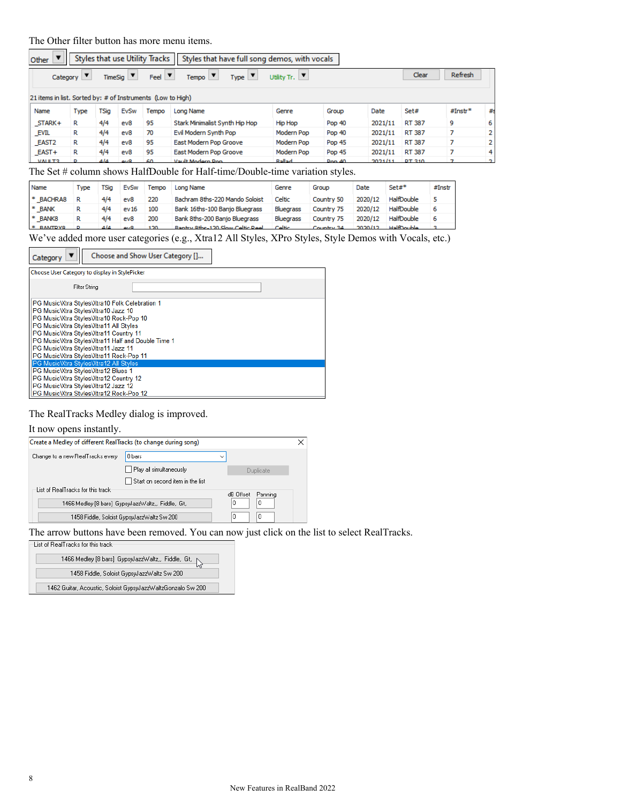# The Other filter button has more menu items.

| Other                                                       |      |       |               | Styles that use Utility Tracks | Styles that have full song demos, with vocals                   |                        |        |         |        |           |                |
|-------------------------------------------------------------|------|-------|---------------|--------------------------------|-----------------------------------------------------------------|------------------------|--------|---------|--------|-----------|----------------|
| Category                                                    | ▼    |       | $TimeSig$ $V$ | $Feel$ $\blacktriangledown$    | $Type \vert \blacktriangledown$<br>$Tempo$ $\blacktriangledown$ | Utility Tr. $ \nabla $ |        |         | Clear  | Refresh   |                |
| 21 items in list. Sorted by: # of Instruments (Low to High) |      |       |               |                                |                                                                 |                        |        |         |        |           |                |
| Name                                                        | Type | TSia  | EvSw          | Tempo                          | Long Name                                                       | Genre                  | Group  | Date    | Set#   | $#Instr*$ | #8             |
| STARK+                                                      | R    | 4/4   | ev8           | 95                             | Stark Minimalist Synth Hip Hop                                  | Hip Hop                | Pop 40 | 2021/11 | RT 387 | 9         | 6              |
| <b>EVIL</b>                                                 | R    | 4/4   | ev8           | 70                             | Evil Modern Synth Pop                                           | Modern Pop             | Pop 40 | 2021/11 | RT 387 | 7         | $\overline{2}$ |
| EAST <sub>2</sub>                                           | R    | 4/4   | ev8           | 95                             | East Modern Pop Groove                                          | Modern Pop             | Pop 45 | 2021/11 | RT 387 | 7         | $\mathbf{2}$   |
| EAST+                                                       | R    | 4/4   | ev8           | 95                             | East Modern Pop Groove                                          | Modern Pop             | Pop 45 | 2021/11 | RT 387 | 7         | 4              |
| <b>MALLER</b>                                               |      | 4 I.A | ov.           | ÆΩ                             | <b>Vault Modern Pop</b>                                         | <b>Ballad</b>          | Don 40 | 2021/11 | DT 310 |           | n.             |

The Set # column shows HalfDouble for Half-time/Double-time variation styles.

| Name        | Type | TSia     | EvSw | Tempo                | Long Name                      | Genre            | Group      | Date    | $Set#$ *   | #Instr |
|-------------|------|----------|------|----------------------|--------------------------------|------------------|------------|---------|------------|--------|
| * BACHRA8   |      | 4/4      | ev8  | 220                  | Bachram 8ths-220 Mando Soloist | Celtic           | Country 50 | 2020/12 | HalfDouble |        |
| * BANK      |      | 4/4      | ev16 | 100                  | Bank 16ths-100 Banio Bluegrass | Bluegrass        | Country 75 | 2020/12 | HalfDouble |        |
| * BANK8     |      | 4/4      | ev8  | 200                  | Bank 8ths-200 Banjo Bluegrass  | <b>Bluegrass</b> | Country 75 | 2020/12 | HalfDouble | 6      |
| ----------- |      | $\cdots$ |      | $\sim$ $\sim$ $\sim$ | _ _ _ _ _ _ _ _ _ _ _ _ _      |                  |            | ------- |            |        |

We've added more user categories (e.g., Xtra12 All Styles, XPro Styles, Style Demos with Vocals, etc.)

| Category | Choose and Show User Category []                                                                                                                                                                                                                                                                                                                        |  |  |  |  |  |  |  |  |
|----------|---------------------------------------------------------------------------------------------------------------------------------------------------------------------------------------------------------------------------------------------------------------------------------------------------------------------------------------------------------|--|--|--|--|--|--|--|--|
|          | Choose User Category to display in StylePicker                                                                                                                                                                                                                                                                                                          |  |  |  |  |  |  |  |  |
|          | Filter String                                                                                                                                                                                                                                                                                                                                           |  |  |  |  |  |  |  |  |
|          | PG Music Xtra Styles Xtra10 Folk Celebration 1<br>PG MusicVtra StylesVtra10 Jazz 10<br>PG MusicWtra StylesWtra10 Rock-Pop 10<br>PG Music Xtra Styles Xtra11 All Styles<br>PG MusicVtra StylesVtra11 Country 11<br>PG Music Vtra Styles Vtra11 Half and Double Time 1<br>PG MusicWtra StylesWtra11 Jazz 11<br>PG Music Vitra Styles Vitra 11 Rock-Pop 11 |  |  |  |  |  |  |  |  |
|          | PG Music Xtra Styles Xtra12 All Styles<br>PG Music Vtra Styles Vtra12 Blues 1<br>PG MusicWtra StylesWtra12 Country 12<br>PG MusicWtra StylesWtra12 Jazz 12<br>PG Music Vtra Styles Vtra12 Rock-Pop 12                                                                                                                                                   |  |  |  |  |  |  |  |  |

#### The RealTracks Medley dialog is improved.

#### It now opens instantly.

| Create a Medley of different RealTracks (to change during song) |                                                   |           |           | × |
|-----------------------------------------------------------------|---------------------------------------------------|-----------|-----------|---|
| Change to a new RealTracks every                                | 8 bars                                            |           |           |   |
|                                                                 | Play all simultaneously                           |           | Duplicate |   |
|                                                                 | Start on second item in the list                  |           |           |   |
| List of RealTracks for this track                               |                                                   | dB Offset | Panning   |   |
|                                                                 | 1466 Medley [8 bars] GypsyJazzWaltz,, Fiddle, Gt, | 0         | 0         |   |
|                                                                 | 1458 Fiddle, Soloist GypswlazzWaltz Sw 200        | 0         | 0         |   |

The arrow buttons have been removed. You can now just click on the list to select RealTracks.

| -List of RealTracks for this track |  |
|------------------------------------|--|
|                                    |  |
|                                    |  |

| 1466 Medley [8 bars] GypsyJazzWaltz,, Fiddle, Gt, N         |
|-------------------------------------------------------------|
| 1458 Fiddle, Soloist GypswlazzWaltz Sw 200                  |
| 1462 Guitar, Acoustic, Soloist GypsyJazzWaltzGonzalo Sw 200 |